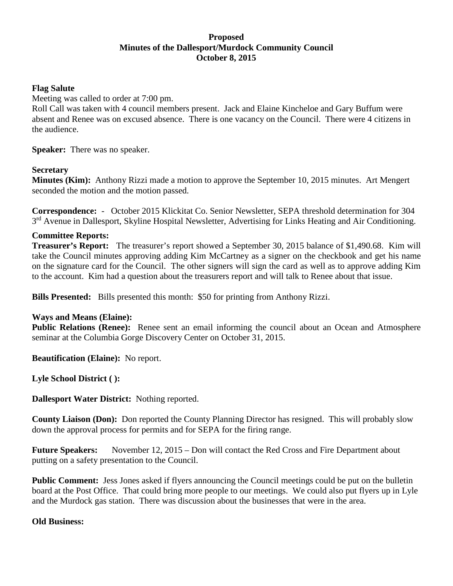# **Proposed Minutes of the Dallesport/Murdock Community Council October 8, 2015**

### **Flag Salute**

Meeting was called to order at 7:00 pm.

Roll Call was taken with 4 council members present. Jack and Elaine Kincheloe and Gary Buffum were absent and Renee was on excused absence. There is one vacancy on the Council. There were 4 citizens in the audience.

**Speaker:** There was no speaker.

# **Secretary**

**Minutes (Kim):** Anthony Rizzi made a motion to approve the September 10, 2015 minutes. Art Mengert seconded the motion and the motion passed.

**Correspondence:** - October 2015 Klickitat Co. Senior Newsletter, SEPA threshold determination for 304 3<sup>rd</sup> Avenue in Dallesport, Skyline Hospital Newsletter, Advertising for Links Heating and Air Conditioning.

### **Committee Reports:**

**Treasurer's Report:** The treasurer's report showed a September 30, 2015 balance of \$1,490.68. Kim will take the Council minutes approving adding Kim McCartney as a signer on the checkbook and get his name on the signature card for the Council. The other signers will sign the card as well as to approve adding Kim to the account. Kim had a question about the treasurers report and will talk to Renee about that issue.

**Bills Presented:** Bills presented this month: \$50 for printing from Anthony Rizzi.

#### **Ways and Means (Elaine):**

**Public Relations (Renee):** Renee sent an email informing the council about an Ocean and Atmosphere seminar at the Columbia Gorge Discovery Center on October 31, 2015.

**Beautification (Elaine):** No report.

**Lyle School District ( ):**

**Dallesport Water District:** Nothing reported.

**County Liaison (Don):** Don reported the County Planning Director has resigned. This will probably slow down the approval process for permits and for SEPA for the firing range.

**Future Speakers:** November 12, 2015 – Don will contact the Red Cross and Fire Department about putting on a safety presentation to the Council.

**Public Comment:** Jess Jones asked if flyers announcing the Council meetings could be put on the bulletin board at the Post Office. That could bring more people to our meetings. We could also put flyers up in Lyle and the Murdock gas station. There was discussion about the businesses that were in the area.

#### **Old Business:**